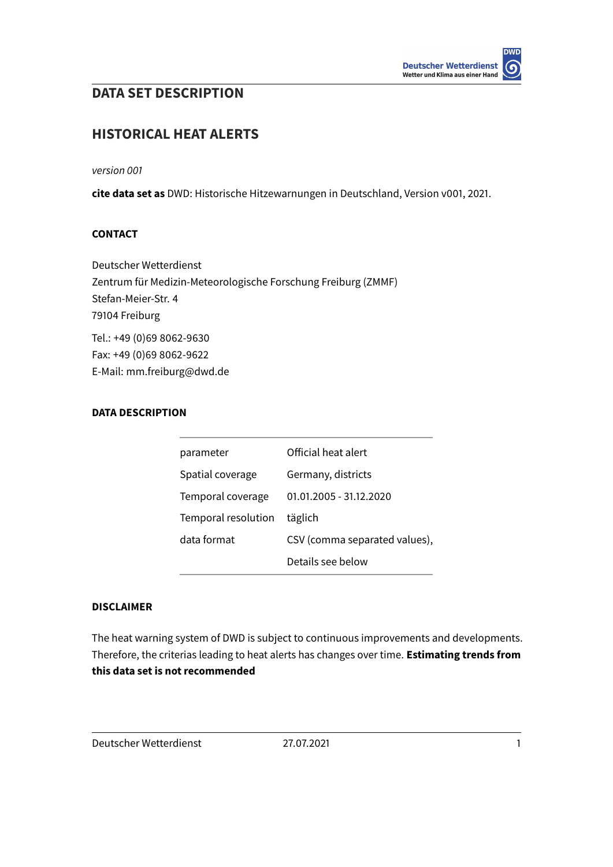# **DATA SET DESCRIPTION**

# **HISTORICAL HEAT ALERTS**

version 001

**cite data set as** DWD: Historische Hitzewarnungen in Deutschland, Version v001, 2021.

#### **CONTACT**

Deutscher Wetterdienst Zentrum für Medizin-Meteorologische Forschung Freiburg (ZMMF) Stefan-Meier-Str. 4 79104 Freiburg Tel.: +49 (0)69 8062-9630 Fax: +49 (0)69 8062-9622 E-Mail: mm.freiburg@dwd.de

## **DATA DESCRIPTION**

| parameter           | Official heat alert           |
|---------------------|-------------------------------|
| Spatial coverage    | Germany, districts            |
| Temporal coverage   | 01.01.2005 - 31.12.2020       |
| Temporal resolution | täglich                       |
| data format         | CSV (comma separated values), |
|                     | Details see below             |
|                     |                               |

#### **DISCLAIMER**

The heat warning system of DWD is subject to continuous improvements and developments. Therefore, the criterias leading to heat alerts has changes over time. **Estimating trends from this data set is not recommended**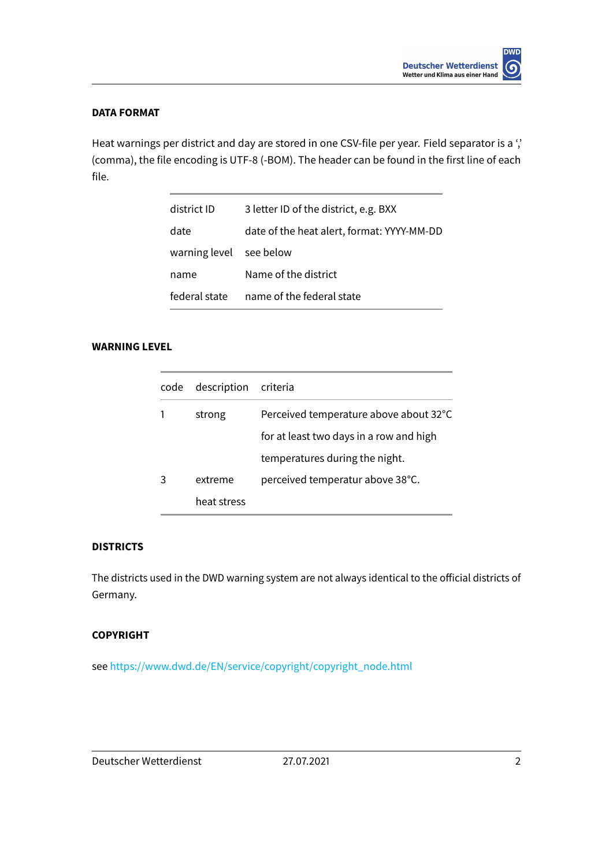## **DATA FORMAT**

Heat warnings per district and day are stored in one CSV-file per year. Field separator is a ", (comma), the file encoding is UTF-8 (-BOM). The header can be found in the first line of each file.

| district ID             | 3 letter ID of the district, e.g. BXX      |
|-------------------------|--------------------------------------------|
| date                    | date of the heat alert, format: YYYY-MM-DD |
| warning level see below |                                            |
| name                    | Name of the district                       |
| federal state           | name of the federal state                  |

# **WARNING LEVEL**

| code | description | criteria                                |
|------|-------------|-----------------------------------------|
|      | strong      | Perceived temperature above about 32°C  |
|      |             | for at least two days in a row and high |
|      |             | temperatures during the night.          |
|      | extreme     | perceived temperatur above 38°C.        |
|      | heat stress |                                         |

# **DISTRICTS**

The districts used in the DWD warning system are not always identical to the official districts of Germany.

## **COPYRIGHT**

see [https://www.dwd.de/EN/service/copyright/copyright\\_node.html](https://www.dwd.de/EN/service/copyright/copyright_node.html)